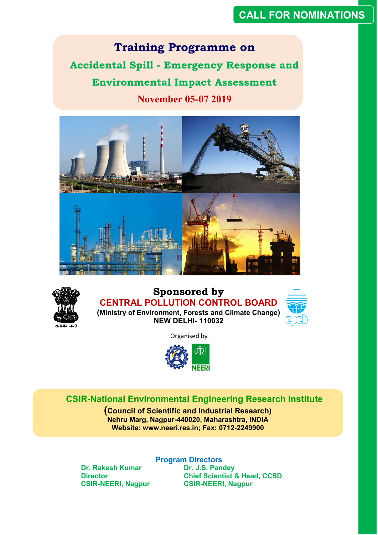# **CALL FOR NOMINATIONS**

**Training Programme on Accidental Spill - Emergency Response and Environmental Impact Assessment November 05-07 2019**





# **Sponsored by CENTRAL POLLUTION CONTROL BOARD (Ministry of Environment, Forests and Climate Change)**



**NEW DELHI- 110032**

Organised by



# **CSIR-National Environmental Engineering Research Institute**

**(Council of Scientific and Industrial Research) Nehru Marg, Nagpur-440020, Maharashtra, INDIA Website: www.neeri.res.in; Fax: 0712-2249900**

**Dr. Rakesh Kumar Dr. J.S. Pandey**<br> **Director Director Director** 

**Program Directors Chief Scientist & Head, CCSD CSIR-NEERI, Nagpur CSIR-NEERI, Nagpur**